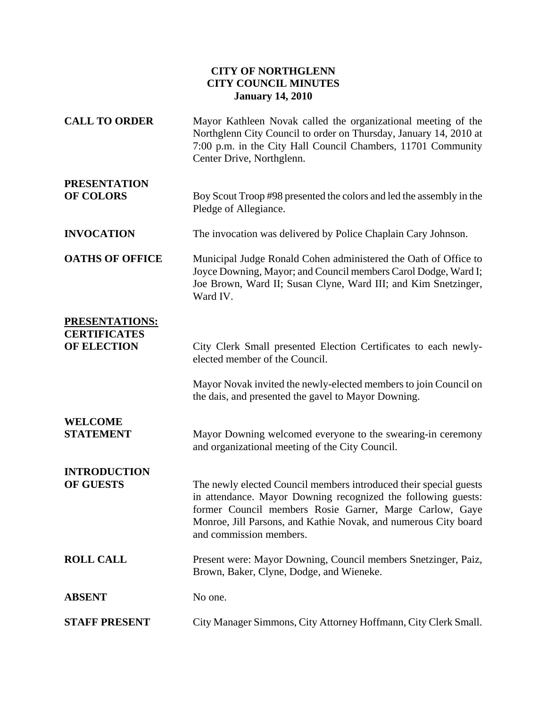## **CITY OF NORTHGLENN CITY COUNCIL MINUTES January 14, 2010**

| <b>CALL TO ORDER</b>                      | Mayor Kathleen Novak called the organizational meeting of the<br>Northglenn City Council to order on Thursday, January 14, 2010 at<br>7:00 p.m. in the City Hall Council Chambers, 11701 Community<br>Center Drive, Northglenn.                                                             |
|-------------------------------------------|---------------------------------------------------------------------------------------------------------------------------------------------------------------------------------------------------------------------------------------------------------------------------------------------|
| <b>PRESENTATION</b><br><b>OF COLORS</b>   | Boy Scout Troop #98 presented the colors and led the assembly in the<br>Pledge of Allegiance.                                                                                                                                                                                               |
| <b>INVOCATION</b>                         | The invocation was delivered by Police Chaplain Cary Johnson.                                                                                                                                                                                                                               |
| <b>OATHS OF OFFICE</b>                    | Municipal Judge Ronald Cohen administered the Oath of Office to<br>Joyce Downing, Mayor; and Council members Carol Dodge, Ward I;<br>Joe Brown, Ward II; Susan Clyne, Ward III; and Kim Snetzinger,<br>Ward IV.                                                                             |
| <b>PRESENTATIONS:</b>                     |                                                                                                                                                                                                                                                                                             |
| <b>CERTIFICATES</b><br><b>OF ELECTION</b> | City Clerk Small presented Election Certificates to each newly-<br>elected member of the Council.                                                                                                                                                                                           |
|                                           | Mayor Novak invited the newly-elected members to join Council on<br>the dais, and presented the gavel to Mayor Downing.                                                                                                                                                                     |
| <b>WELCOME</b><br><b>STATEMENT</b>        | Mayor Downing welcomed everyone to the swearing-in ceremony<br>and organizational meeting of the City Council.                                                                                                                                                                              |
| <b>INTRODUCTION</b><br><b>OF GUESTS</b>   | The newly elected Council members introduced their special guests<br>in attendance. Mayor Downing recognized the following guests:<br>former Council members Rosie Garner, Marge Carlow, Gaye<br>Monroe, Jill Parsons, and Kathie Novak, and numerous City board<br>and commission members. |
| <b>ROLL CALL</b>                          | Present were: Mayor Downing, Council members Snetzinger, Paiz,<br>Brown, Baker, Clyne, Dodge, and Wieneke.                                                                                                                                                                                  |
| <b>ABSENT</b>                             | No one.                                                                                                                                                                                                                                                                                     |
| <b>STAFF PRESENT</b>                      | City Manager Simmons, City Attorney Hoffmann, City Clerk Small.                                                                                                                                                                                                                             |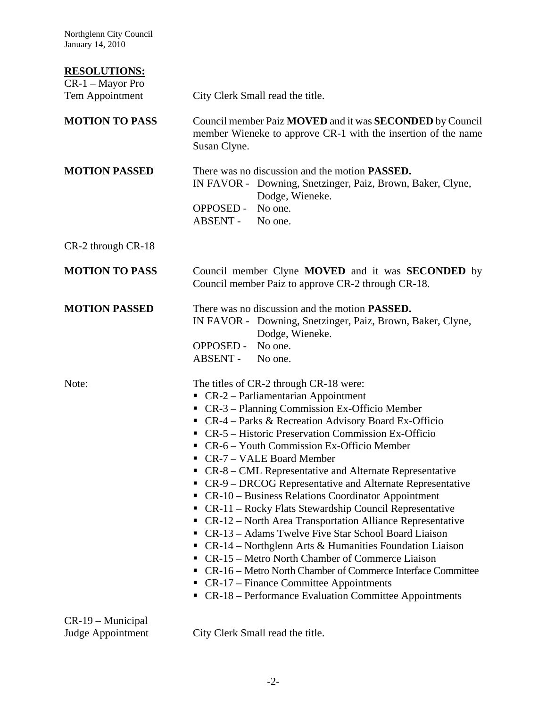Northglenn City Council January 14, 2010

## **RESOLUTIONS:**

| CR-1 - Mayor Pro                         |                                                                                                                                                                                                                                                                                                                                                                                                                                                                                                                                                                                                                                                                                                                                                                                                                                                                                                                                                                                                                |
|------------------------------------------|----------------------------------------------------------------------------------------------------------------------------------------------------------------------------------------------------------------------------------------------------------------------------------------------------------------------------------------------------------------------------------------------------------------------------------------------------------------------------------------------------------------------------------------------------------------------------------------------------------------------------------------------------------------------------------------------------------------------------------------------------------------------------------------------------------------------------------------------------------------------------------------------------------------------------------------------------------------------------------------------------------------|
| Tem Appointment                          | City Clerk Small read the title.                                                                                                                                                                                                                                                                                                                                                                                                                                                                                                                                                                                                                                                                                                                                                                                                                                                                                                                                                                               |
| <b>MOTION TO PASS</b>                    | Council member Paiz MOVED and it was SECONDED by Council<br>member Wieneke to approve CR-1 with the insertion of the name<br>Susan Clyne.                                                                                                                                                                                                                                                                                                                                                                                                                                                                                                                                                                                                                                                                                                                                                                                                                                                                      |
| <b>MOTION PASSED</b>                     | There was no discussion and the motion <b>PASSED</b> .<br>IN FAVOR - Downing, Snetzinger, Paiz, Brown, Baker, Clyne,<br>Dodge, Wieneke.<br><b>OPPOSED -</b><br>No one.<br>ABSENT - No one.                                                                                                                                                                                                                                                                                                                                                                                                                                                                                                                                                                                                                                                                                                                                                                                                                     |
| CR-2 through CR-18                       |                                                                                                                                                                                                                                                                                                                                                                                                                                                                                                                                                                                                                                                                                                                                                                                                                                                                                                                                                                                                                |
| <b>MOTION TO PASS</b>                    | Council member Clyne MOVED and it was <b>SECONDED</b> by<br>Council member Paiz to approve CR-2 through CR-18.                                                                                                                                                                                                                                                                                                                                                                                                                                                                                                                                                                                                                                                                                                                                                                                                                                                                                                 |
| <b>MOTION PASSED</b>                     | There was no discussion and the motion <b>PASSED</b> .<br>IN FAVOR - Downing, Snetzinger, Paiz, Brown, Baker, Clyne,<br>Dodge, Wieneke.<br>OPPOSED - No one.<br>ABSENT - No one.                                                                                                                                                                                                                                                                                                                                                                                                                                                                                                                                                                                                                                                                                                                                                                                                                               |
| Note:                                    | The titles of CR-2 through CR-18 were:<br>$\blacksquare$ CR-2 – Parliamentarian Appointment<br>• CR-3 – Planning Commission Ex-Officio Member<br>• CR-4 – Parks & Recreation Advisory Board Ex-Officio<br>• CR-5 – Historic Preservation Commission Ex-Officio<br>• CR-6 – Youth Commission Ex-Officio Member<br>• CR-7 – VALE Board Member<br>• CR-8 – CML Representative and Alternate Representative<br>• CR-9 – DRCOG Representative and Alternate Representative<br>• CR-10 – Business Relations Coordinator Appointment<br>CR-11 – Rocky Flats Stewardship Council Representative<br>• CR-12 – North Area Transportation Alliance Representative<br>• CR-13 – Adams Twelve Five Star School Board Liaison<br>• CR-14 – Northglenn Arts & Humanities Foundation Liaison<br>CR-15 – Metro North Chamber of Commerce Liaison<br>ш<br>• CR-16 – Metro North Chamber of Commerce Interface Committee<br>• $CR-17$ – Finance Committee Appointments<br>• CR-18 – Performance Evaluation Committee Appointments |
| $CR-19$ – Municipal<br>Judge Appointment | City Clerk Small read the title.                                                                                                                                                                                                                                                                                                                                                                                                                                                                                                                                                                                                                                                                                                                                                                                                                                                                                                                                                                               |